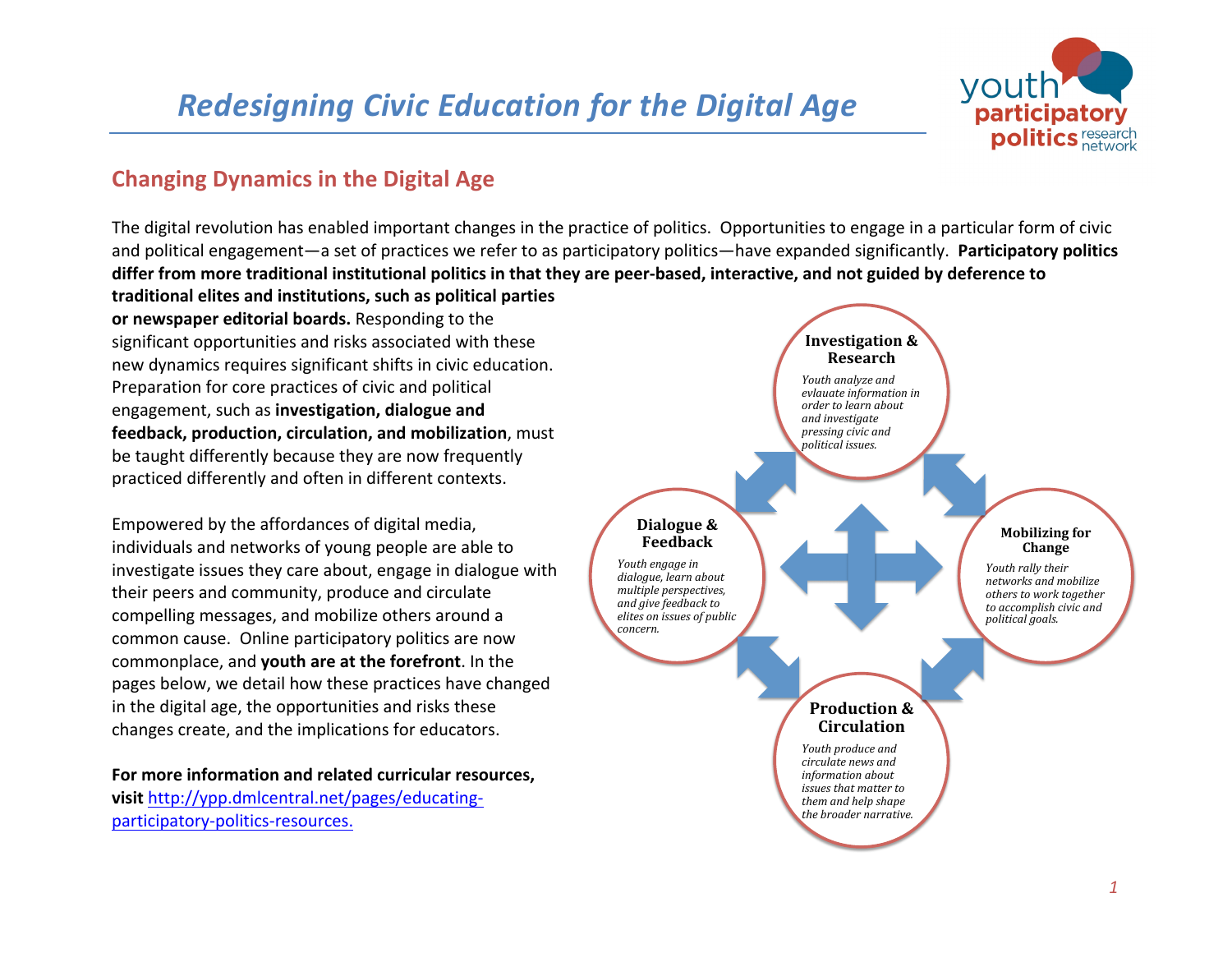# **Redesigning Civic Education for the Digital Age**



## **Changing Dynamics in the Digital Age**

The digital revolution has enabled important changes in the practice of politics. Opportunities to engage in a particular form of civic and political engagement—a set of practices we refer to as participatory politics—have expanded significantly. Participatory politics differ from more traditional institutional politics in that they are peer-based, interactive, and not guided by deference to traditional elites and institutions, such as political parties

**or newspaper editorial boards.** Responding to the significant opportunities and risks associated with these new dynamics requires significant shifts in civic education. Preparation for core practices of civic and political engagement, such as **investigation, dialogue and feedback, production, circulation, and mobilization**, must be taught differently because they are now frequently practiced differently and often in different contexts.

Empowered by the affordances of digital media, individuals and networks of young people are able to investigate issues they care about, engage in dialogue with their peers and community, produce and circulate compelling messages, and mobilize others around a common cause. Online participatory politics are now commonplace, and **youth are at the forefront**. In the pages below, we detail how these practices have changed in the digital age, the opportunities and risks these changes create, and the implications for educators.

For more information and related curricular resources. **visit** http://ypp.dmlcentral.net/pages/educatingparticipatory-politics-resources.

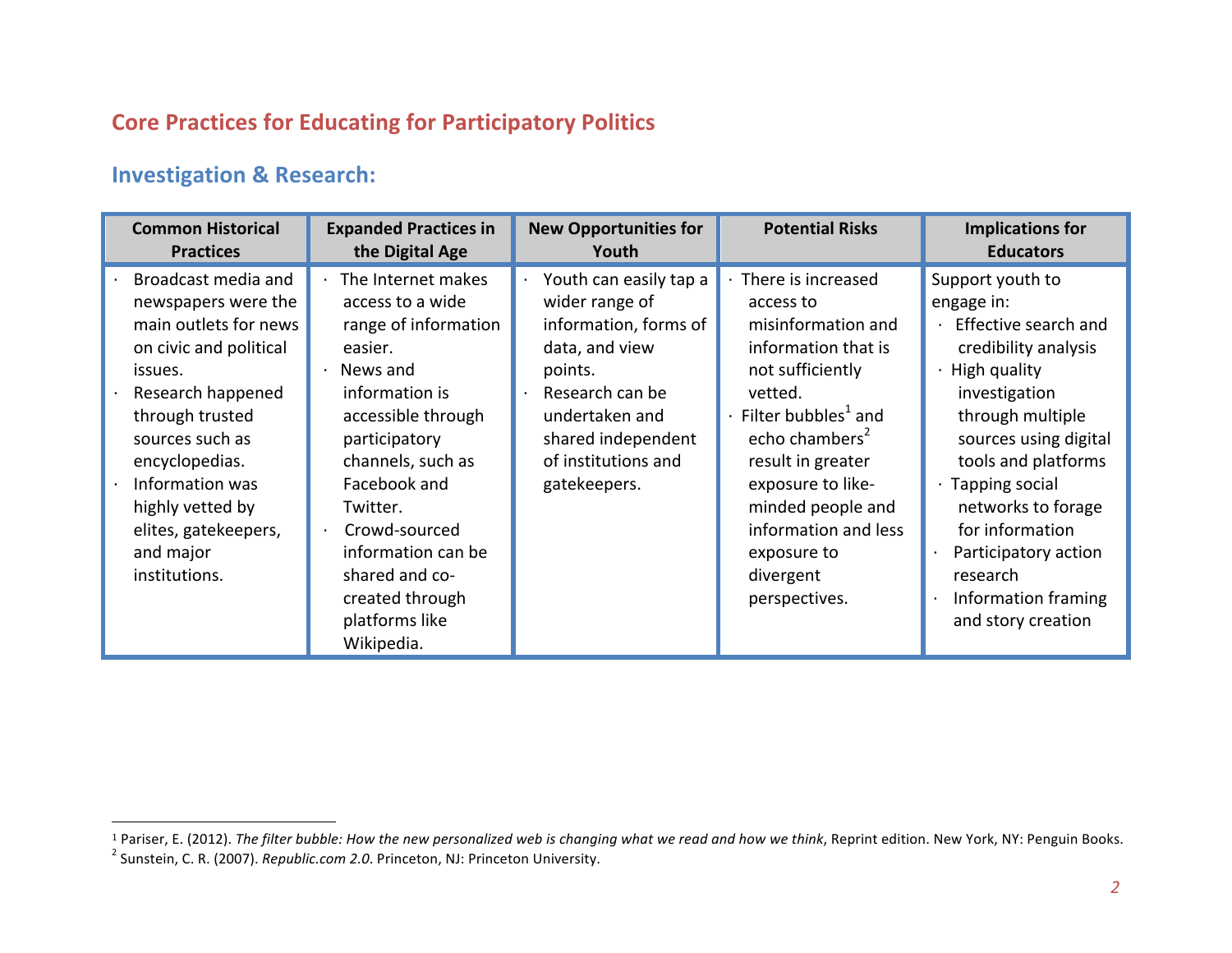# **Core Practices for Educating for Participatory Politics**

## **Investigation & Research:**

| <b>Common Historical</b>                                                                                                                                                                                                                                                           | <b>Expanded Practices in</b>                                                                                                                                                                                                                                                                                        | <b>New Opportunities for</b>                                                                                                                                                                     | <b>Potential Risks</b>                                                                                                                                                                                                                                                                                           | <b>Implications for</b>                                                                                                                                                                                                                                                                                                                         |
|------------------------------------------------------------------------------------------------------------------------------------------------------------------------------------------------------------------------------------------------------------------------------------|---------------------------------------------------------------------------------------------------------------------------------------------------------------------------------------------------------------------------------------------------------------------------------------------------------------------|--------------------------------------------------------------------------------------------------------------------------------------------------------------------------------------------------|------------------------------------------------------------------------------------------------------------------------------------------------------------------------------------------------------------------------------------------------------------------------------------------------------------------|-------------------------------------------------------------------------------------------------------------------------------------------------------------------------------------------------------------------------------------------------------------------------------------------------------------------------------------------------|
| <b>Practices</b>                                                                                                                                                                                                                                                                   | the Digital Age                                                                                                                                                                                                                                                                                                     | Youth                                                                                                                                                                                            |                                                                                                                                                                                                                                                                                                                  | <b>Educators</b>                                                                                                                                                                                                                                                                                                                                |
| Broadcast media and<br>newspapers were the<br>main outlets for news<br>on civic and political<br>issues.<br>Research happened<br>through trusted<br>sources such as<br>encyclopedias.<br>Information was<br>highly vetted by<br>elites, gatekeepers,<br>and major<br>institutions. | $\cdot$ The Internet makes<br>access to a wide<br>range of information<br>easier.<br>News and<br>information is<br>accessible through<br>participatory<br>channels, such as<br>Facebook and<br>Twitter.<br>Crowd-sourced<br>information can be<br>shared and co-<br>created through<br>platforms like<br>Wikipedia. | Youth can easily tap a<br>wider range of<br>information, forms of<br>data, and view<br>points.<br>Research can be<br>undertaken and<br>shared independent<br>of institutions and<br>gatekeepers. | There is increased<br>access to<br>misinformation and<br>information that is<br>not sufficiently<br>vetted.<br>Filter bubbles <sup>1</sup> and<br>echo chambers <sup>2</sup><br>result in greater<br>exposure to like-<br>minded people and<br>information and less<br>exposure to<br>divergent<br>perspectives. | Support youth to<br>engage in:<br>Effective search and<br>credibility analysis<br>$\cdot$ High quality<br>investigation<br>through multiple<br>sources using digital<br>tools and platforms<br>$\cdot$ Tapping social<br>networks to forage<br>for information<br>Participatory action<br>research<br>Information framing<br>and story creation |

<sup>&</sup>lt;sup>1</sup> Pariser, E. (2012). *The filter bubble: How the new personalized web is changing what we read and how we think, Reprint edition. New York, NY: Penguin Books.<br><sup>2</sup> Sunstein, C. R. (2007). <i>Republic.com 2.0*. Princeton, N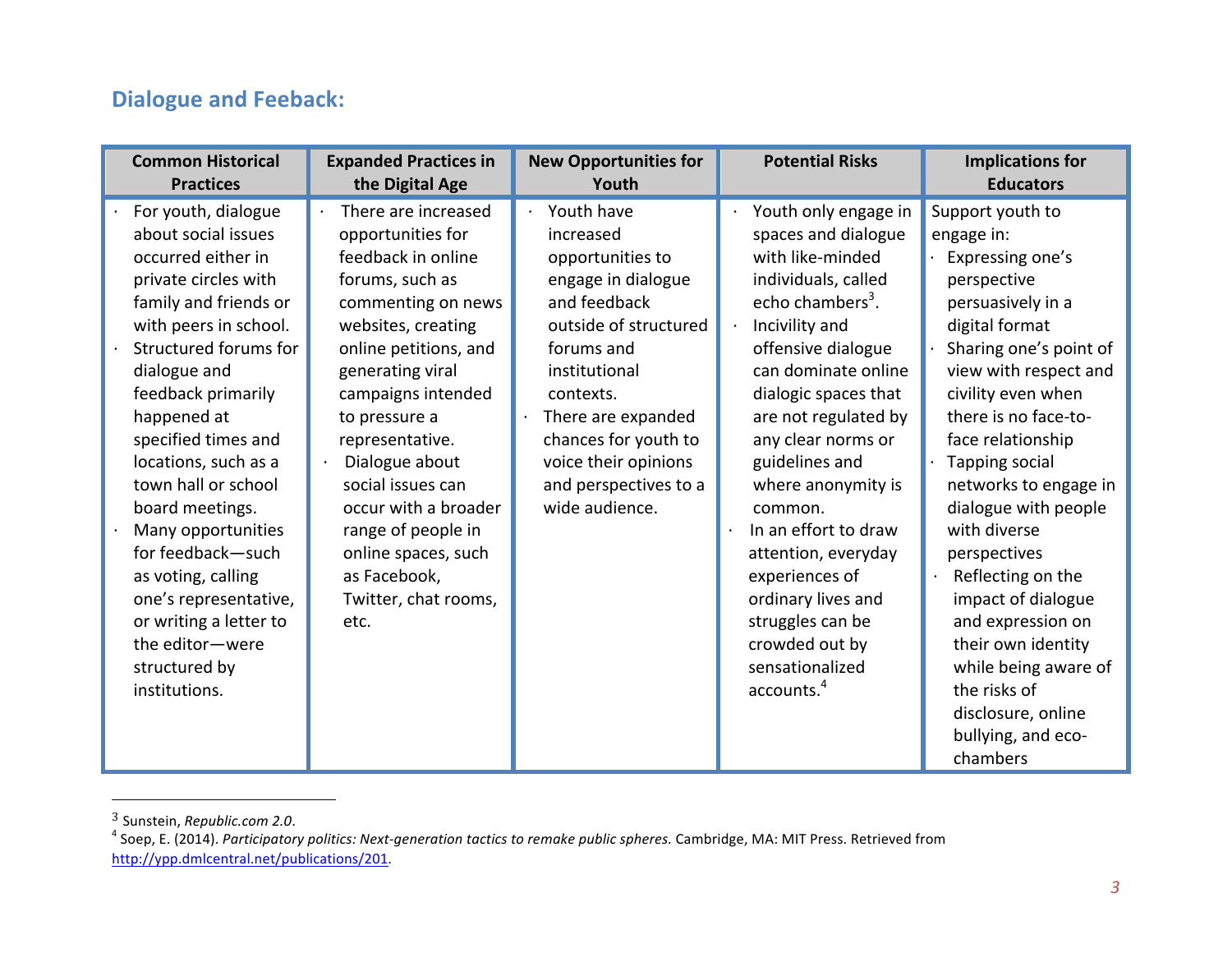# **Dialogue and Feeback:**

| <b>Common Historical</b>                                                                                                                                                                                                                                                                                                                                                                                                                                                                   | <b>Expanded Practices in</b>                                                                                                                                                                                                                                                                                                                                                                     | <b>New Opportunities for</b>                                                                                                                                                                                                                                            | <b>Potential Risks</b>                                                                                                                                                                                                                                                                                                                                                                                                                                                                                 | <b>Implications for</b>                                                                                                                                                                                                                                                                                                                                                                                                                                                                                                 |
|--------------------------------------------------------------------------------------------------------------------------------------------------------------------------------------------------------------------------------------------------------------------------------------------------------------------------------------------------------------------------------------------------------------------------------------------------------------------------------------------|--------------------------------------------------------------------------------------------------------------------------------------------------------------------------------------------------------------------------------------------------------------------------------------------------------------------------------------------------------------------------------------------------|-------------------------------------------------------------------------------------------------------------------------------------------------------------------------------------------------------------------------------------------------------------------------|--------------------------------------------------------------------------------------------------------------------------------------------------------------------------------------------------------------------------------------------------------------------------------------------------------------------------------------------------------------------------------------------------------------------------------------------------------------------------------------------------------|-------------------------------------------------------------------------------------------------------------------------------------------------------------------------------------------------------------------------------------------------------------------------------------------------------------------------------------------------------------------------------------------------------------------------------------------------------------------------------------------------------------------------|
| <b>Practices</b>                                                                                                                                                                                                                                                                                                                                                                                                                                                                           | the Digital Age                                                                                                                                                                                                                                                                                                                                                                                  | Youth                                                                                                                                                                                                                                                                   |                                                                                                                                                                                                                                                                                                                                                                                                                                                                                                        | <b>Educators</b>                                                                                                                                                                                                                                                                                                                                                                                                                                                                                                        |
| For youth, dialogue<br>about social issues<br>occurred either in<br>private circles with<br>family and friends or<br>with peers in school.<br>Structured forums for<br>dialogue and<br>feedback primarily<br>happened at<br>specified times and<br>locations, such as a<br>town hall or school<br>board meetings.<br>Many opportunities<br>for feedback-such<br>as voting, calling<br>one's representative,<br>or writing a letter to<br>the editor-were<br>structured by<br>institutions. | There are increased<br>opportunities for<br>feedback in online<br>forums, such as<br>commenting on news<br>websites, creating<br>online petitions, and<br>generating viral<br>campaigns intended<br>to pressure a<br>representative.<br>Dialogue about<br>social issues can<br>occur with a broader<br>range of people in<br>online spaces, such<br>as Facebook,<br>Twitter, chat rooms,<br>etc. | Youth have<br>increased<br>opportunities to<br>engage in dialogue<br>and feedback<br>outside of structured<br>forums and<br>institutional<br>contexts.<br>There are expanded<br>chances for youth to<br>voice their opinions<br>and perspectives to a<br>wide audience. | Youth only engage in<br>spaces and dialogue<br>with like-minded<br>individuals, called<br>echo chambers <sup>3</sup> .<br>Incivility and<br>$\epsilon$<br>offensive dialogue<br>can dominate online<br>dialogic spaces that<br>are not regulated by<br>any clear norms or<br>guidelines and<br>where anonymity is<br>common.<br>In an effort to draw<br>attention, everyday<br>experiences of<br>ordinary lives and<br>struggles can be<br>crowded out by<br>sensationalized<br>accounts. <sup>4</sup> | Support youth to<br>engage in:<br>Expressing one's<br>perspective<br>persuasively in a<br>digital format<br>Sharing one's point of<br>view with respect and<br>civility even when<br>there is no face-to-<br>face relationship<br>Tapping social<br>networks to engage in<br>dialogue with people<br>with diverse<br>perspectives<br>Reflecting on the<br>impact of dialogue<br>and expression on<br>their own identity<br>while being aware of<br>the risks of<br>disclosure, online<br>bullying, and eco-<br>chambers |

<sup>&</sup>lt;sup>3</sup> Sunstein, *Republic.com 2.0*.<br><sup>4</sup> Soep, E. (2014). *Participatory politics: Next-generation tactics to remake public spheres. Cambridge, MA: MIT Press. Retrieved from* http://ypp.dmlcentral.net/publications/201.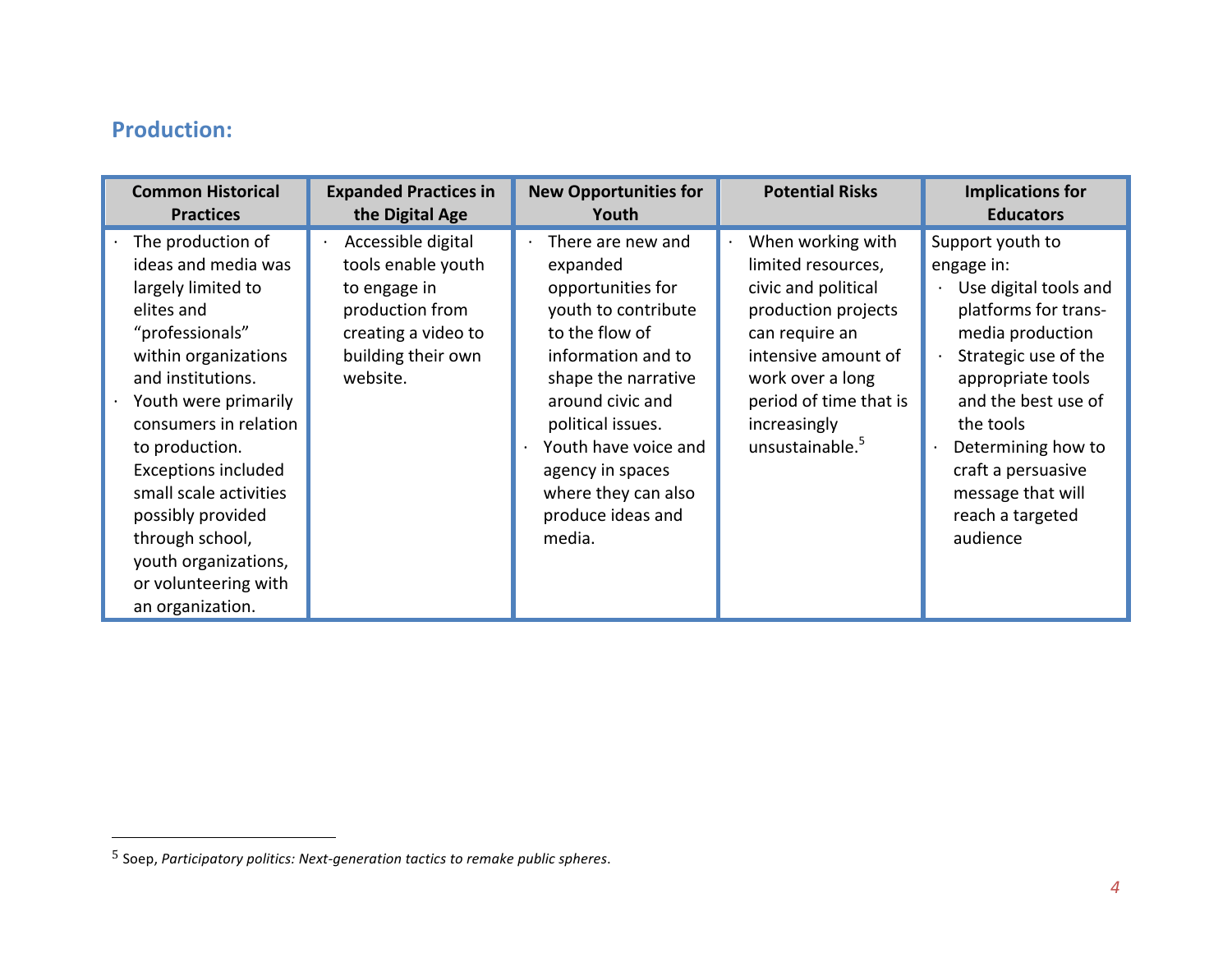## **Production:**

| <b>Common Historical</b>                                                                                                                                                                                                                                                                                                                                                            | <b>Expanded Practices in</b>                                                                                                         | <b>New Opportunities for</b>                                                                                                                                                                                                                                                        | <b>Potential Risks</b>                                                                                                                                                                                         | <b>Implications for</b>                                                                                                                                                                                                                                                               |
|-------------------------------------------------------------------------------------------------------------------------------------------------------------------------------------------------------------------------------------------------------------------------------------------------------------------------------------------------------------------------------------|--------------------------------------------------------------------------------------------------------------------------------------|-------------------------------------------------------------------------------------------------------------------------------------------------------------------------------------------------------------------------------------------------------------------------------------|----------------------------------------------------------------------------------------------------------------------------------------------------------------------------------------------------------------|---------------------------------------------------------------------------------------------------------------------------------------------------------------------------------------------------------------------------------------------------------------------------------------|
| <b>Practices</b>                                                                                                                                                                                                                                                                                                                                                                    | the Digital Age                                                                                                                      | Youth                                                                                                                                                                                                                                                                               |                                                                                                                                                                                                                | <b>Educators</b>                                                                                                                                                                                                                                                                      |
| The production of<br>ideas and media was<br>largely limited to<br>elites and<br>"professionals"<br>within organizations<br>and institutions.<br>Youth were primarily<br>consumers in relation<br>to production.<br><b>Exceptions included</b><br>small scale activities<br>possibly provided<br>through school,<br>youth organizations,<br>or volunteering with<br>an organization. | Accessible digital<br>tools enable youth<br>to engage in<br>production from<br>creating a video to<br>building their own<br>website. | There are new and<br>expanded<br>opportunities for<br>youth to contribute<br>to the flow of<br>information and to<br>shape the narrative<br>around civic and<br>political issues.<br>Youth have voice and<br>agency in spaces<br>where they can also<br>produce ideas and<br>media. | When working with<br>limited resources,<br>civic and political<br>production projects<br>can require an<br>intensive amount of<br>work over a long<br>period of time that is<br>increasingly<br>unsustainable. | Support youth to<br>engage in:<br>Use digital tools and<br>platforms for trans-<br>media production<br>Strategic use of the<br>appropriate tools<br>and the best use of<br>the tools<br>Determining how to<br>craft a persuasive<br>message that will<br>reach a targeted<br>audience |

<sup>5</sup> Soep, *Participatory politics: Next-generation tactics to remake public spheres*.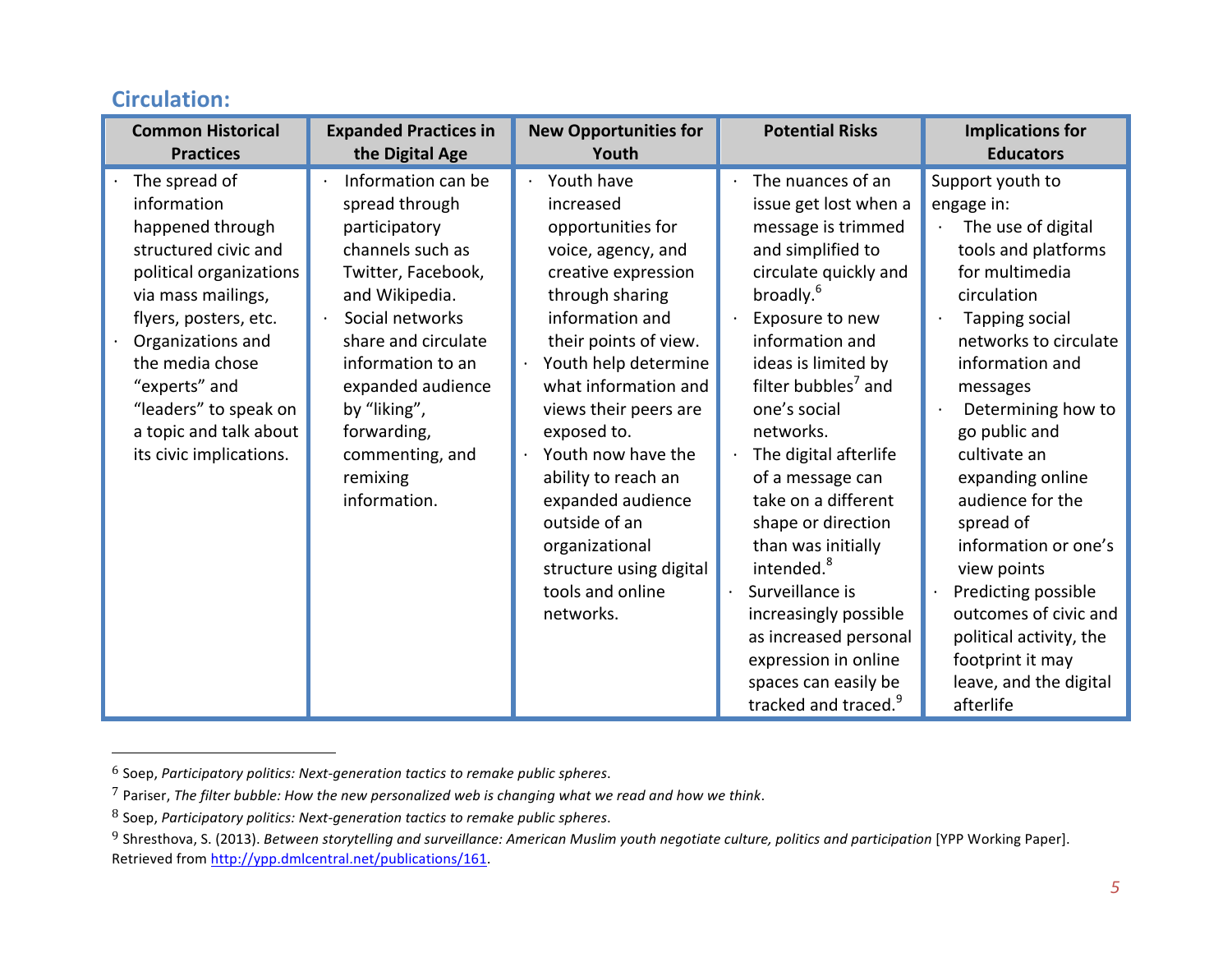| <b>Common Historical</b>                                                                                                                                                                                                                                                                  | <b>Expanded Practices in</b>                                                                                                                                                                                                                                                                     | <b>New Opportunities for</b>                                                                                                                                                                                                                                                                                                                                                                                      | <b>Potential Risks</b>                                                                                                                                                                                                                                                                                                                                                                                                                                                                                                                                                  | <b>Implications for</b>                                                                                                                                                                                                                                                                                                                                                                                                                                                         |
|-------------------------------------------------------------------------------------------------------------------------------------------------------------------------------------------------------------------------------------------------------------------------------------------|--------------------------------------------------------------------------------------------------------------------------------------------------------------------------------------------------------------------------------------------------------------------------------------------------|-------------------------------------------------------------------------------------------------------------------------------------------------------------------------------------------------------------------------------------------------------------------------------------------------------------------------------------------------------------------------------------------------------------------|-------------------------------------------------------------------------------------------------------------------------------------------------------------------------------------------------------------------------------------------------------------------------------------------------------------------------------------------------------------------------------------------------------------------------------------------------------------------------------------------------------------------------------------------------------------------------|---------------------------------------------------------------------------------------------------------------------------------------------------------------------------------------------------------------------------------------------------------------------------------------------------------------------------------------------------------------------------------------------------------------------------------------------------------------------------------|
| <b>Practices</b>                                                                                                                                                                                                                                                                          | the Digital Age                                                                                                                                                                                                                                                                                  | Youth                                                                                                                                                                                                                                                                                                                                                                                                             |                                                                                                                                                                                                                                                                                                                                                                                                                                                                                                                                                                         | <b>Educators</b>                                                                                                                                                                                                                                                                                                                                                                                                                                                                |
| The spread of<br>information<br>happened through<br>structured civic and<br>political organizations<br>via mass mailings,<br>flyers, posters, etc.<br>Organizations and<br>the media chose<br>"experts" and<br>"leaders" to speak on<br>a topic and talk about<br>its civic implications. | Information can be<br>spread through<br>participatory<br>channels such as<br>Twitter, Facebook,<br>and Wikipedia.<br>Social networks<br>$\bullet$<br>share and circulate<br>information to an<br>expanded audience<br>by "liking",<br>forwarding,<br>commenting, and<br>remixing<br>information. | Youth have<br>increased<br>opportunities for<br>voice, agency, and<br>creative expression<br>through sharing<br>information and<br>their points of view.<br>Youth help determine<br>what information and<br>views their peers are<br>exposed to.<br>Youth now have the<br>ability to reach an<br>expanded audience<br>outside of an<br>organizational<br>structure using digital<br>tools and online<br>networks. | The nuances of an<br>issue get lost when a<br>message is trimmed<br>and simplified to<br>circulate quickly and<br>broadly. <sup>6</sup><br>Exposure to new<br>information and<br>ideas is limited by<br>filter bubbles <sup>7</sup> and<br>one's social<br>networks.<br>The digital afterlife<br>of a message can<br>take on a different<br>shape or direction<br>than was initially<br>intended. <sup>8</sup><br>Surveillance is<br>increasingly possible<br>as increased personal<br>expression in online<br>spaces can easily be<br>tracked and traced. <sup>9</sup> | Support youth to<br>engage in:<br>The use of digital<br>tools and platforms<br>for multimedia<br>circulation<br>Tapping social<br>networks to circulate<br>information and<br>messages<br>Determining how to<br>go public and<br>cultivate an<br>expanding online<br>audience for the<br>spread of<br>information or one's<br>view points<br>Predicting possible<br>outcomes of civic and<br>political activity, the<br>footprint it may<br>leave, and the digital<br>afterlife |

#### **Circulation:**

<sup>6</sup> Soep, *Participatory politics: Next-generation tactics to remake public spheres*.

<sup>&</sup>lt;sup>7</sup> Pariser, *The filter bubble: How the new personalized web is changing what we read and how we think.* 

<sup>8</sup> Soep, Participatory politics: Next-generation tactics to remake public spheres.

<sup>&</sup>lt;sup>9</sup> Shresthova, S. (2013). Between storytelling and surveillance: American Muslim youth negotiate culture, politics and participation [YPP Working Paper]. Retrieved from http://ypp.dmlcentral.net/publications/161.